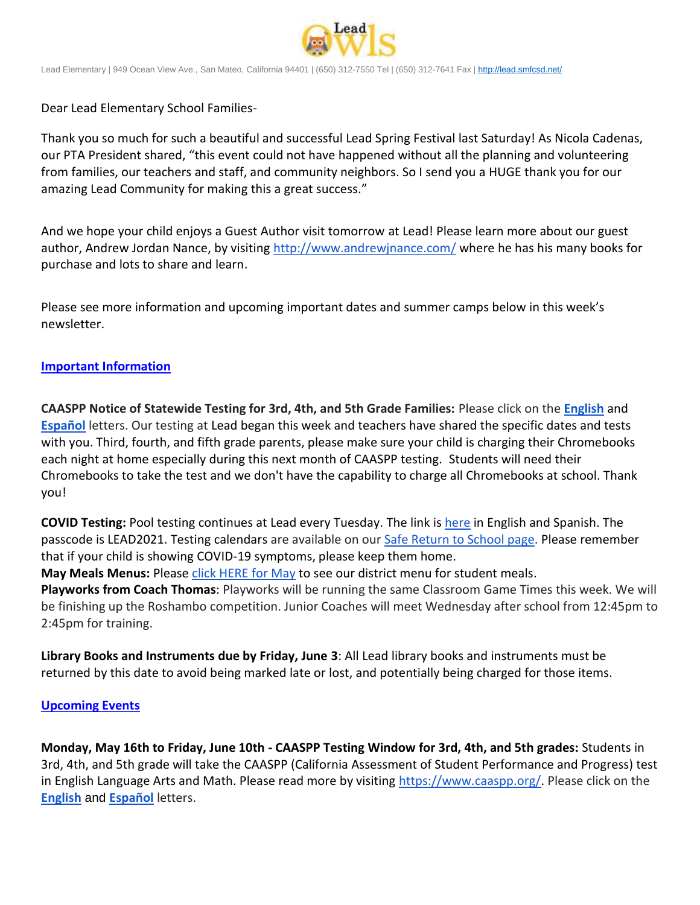

Lead Elementary | 949 Ocean View Ave., San Mateo, California 94401 | (650) 312-7550 Tel | (650) 312-7641 Fax [| http://lead.smfcsd.net/](http://lead.smfcsd.net/)

Dear Lead Elementary School Families-

Thank you so much for such a beautiful and successful Lead Spring Festival last Saturday! As Nicola Cadenas, our PTA President shared, "this event could not have happened without all the planning and volunteering from families, our teachers and staff, and community neighbors. So I send you a HUGE thank you for our amazing Lead Community for making this a great success."

And we hope your child enjoys a Guest Author visit tomorrow at Lead! Please learn more about our guest author, Andrew Jordan Nance, by visiting <http://www.andrewjnance.com/> where he has his many books for purchase and lots to share and learn.

Please see more information and upcoming important dates and summer camps below in this week's newsletter.

## **Important Information**

**CAASPP Notice of Statewide Testing for 3rd, 4th, and 5th Grade Families:** Please click on the **[English](https://docs.google.com/document/d/1-r-X1_zsy7D6UmHg_-3E15SvXhCPRvi4fL8GUokVcqQ/edit?usp=sharing)** and **[Español](https://docs.google.com/document/d/1lLl1jRYORH7VS3pJjw9e6yiAIXw23e3DgmMetSp1_aQ/edit?usp=sharing)** letters. Our testing at Lead began this week and teachers have shared the specific dates and tests with you. Third, fourth, and fifth grade parents, please make sure your child is charging their Chromebooks each night at home especially during this next month of CAASPP testing. Students will need their Chromebooks to take the test and we don't have the capability to charge all Chromebooks at school. Thank you!

**COVID Testing:** Pool testing continues at Lead every Tuesday. The link is [here](https://testcenter.concentricbyginkgo.com/minor-consent/) in English and Spanish. The passcode is LEAD2021. Testing calendars are available on our [Safe Return to School page.](http://www.smfcsd.net/en/covid-19-updates-resources/covid-19-updates.html) Please remember that if your child is showing COVID-19 symptoms, please keep them home.

**May Meals Menus:** Please [click HERE for May](https://drive.google.com/file/d/1vVpLTZJBj4SV57pMFGwrUGE57IYO5O4i/view?usp=sharing) to see our district menu for student meals.

**Playworks from Coach Thomas**: Playworks will be running the same Classroom Game Times this week. We will be finishing up the Roshambo competition. Junior Coaches will meet Wednesday after school from 12:45pm to 2:45pm for training.

**Library Books and Instruments due by Friday, June 3**: All Lead library books and instruments must be returned by this date to avoid being marked late or lost, and potentially being charged for those items.

## **Upcoming Events**

**Monday, May 16th to Friday, June 10th - CAASPP Testing Window for 3rd, 4th, and 5th grades:** Students in 3rd, 4th, and 5th grade will take the CAASPP (California Assessment of Student Performance and Progress) test in English Language Arts and Math. Please read more by visiting [https://www.caaspp.org/.](https://www.caaspp.org/) Please click on the **[English](https://docs.google.com/document/d/1-r-X1_zsy7D6UmHg_-3E15SvXhCPRvi4fL8GUokVcqQ/edit?usp=sharing)** and **[Español](https://docs.google.com/document/d/1lLl1jRYORH7VS3pJjw9e6yiAIXw23e3DgmMetSp1_aQ/edit?usp=sharing)** letters.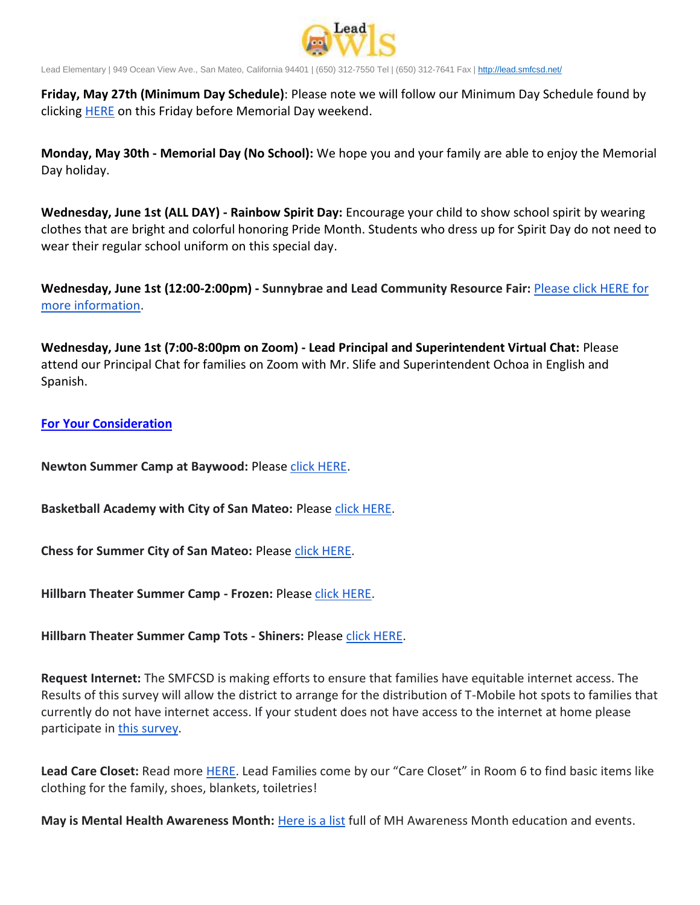

Lead Elementary | 949 Ocean View Ave., San Mateo, California 94401 | (650) 312-7550 Tel | (650) 312-7641 Fax [| http://lead.smfcsd.net/](http://lead.smfcsd.net/)

**Friday, May 27th (Minimum Day Schedule)**: Please note we will follow our Minimum Day Schedule found by clicking [HERE](https://drive.google.com/file/d/1MubdqKmB9dvSEzOFFg_MljXu8Dclin1L/view?usp=sharing) on this Friday before Memorial Day weekend.

**Monday, May 30th - Memorial Day (No School):** We hope you and your family are able to enjoy the Memorial Day holiday.

**Wednesday, June 1st (ALL DAY) - Rainbow Spirit Day:** Encourage your child to show school spirit by wearing clothes that are bright and colorful honoring Pride Month. Students who dress up for Spirit Day do not need to wear their regular school uniform on this special day.

**Wednesday, June 1st (12:00-2:00pm) - Sunnybrae and Lead Community Resource Fair:** [Please click HERE for](https://drive.google.com/file/d/1Bd5goOjj48B4doqjZPfS5PLhJozDTo8e/view?usp=sharing)  [more information.](https://drive.google.com/file/d/1Bd5goOjj48B4doqjZPfS5PLhJozDTo8e/view?usp=sharing)

**Wednesday, June 1st (7:00-8:00pm on Zoom) - Lead Principal and Superintendent Virtual Chat:** Please attend our Principal Chat for families on Zoom with Mr. Slife and Superintendent Ochoa in English and Spanish.

## **For Your Consideration**

**Newton Summer Camp at Baywood:** Please [click HERE.](https://drive.google.com/file/d/1gZ5KzHfD0GlUs4xiEB5N7OqZWxuFXXJw/view?usp=sharing)

**Basketball Academy with City of San Mateo: Please [click HERE.](https://drive.google.com/file/d/1jzlN0_l-oXs8D62KLDBhiau1vFhsNiAk/view?usp=sharing)** 

**Chess for Summer City of San Mateo:** Please [click HERE.](https://drive.google.com/file/d/1UznUhV1We5a2fhJrf72SX6DNEoc6CgNP/view?usp=sharing)

**Hillbarn Theater Summer Camp - Frozen:** Please [click HERE.](https://drive.google.com/file/d/1Z34QJdi2Dog-_g4YCb86y7UN6s-rUZi5/view?usp=sharing)

**Hillbarn Theater Summer Camp Tots - Shiners:** Please [click HERE.](https://drive.google.com/file/d/1fa0adh_xIPifC2aGmSS_b5xC_mpnhp3W/view?usp=sharing)

**Request Internet:** The SMFCSD is making efforts to ensure that families have equitable internet access. The Results of this survey will allow the district to arrange for the distribution of T-Mobile hot spots to families that currently do not have internet access. If your student does not have access to the internet at home please participate in [this survey.](https://smfcsd.az1.qualtrics.com/jfe/form/SV_cusTyuEgHBYt8gu)

**Lead Care Closet:** Read more [HERE](https://drive.google.com/file/d/1geHdZDAY9nyZtrZfYS1DfKN-GmLxiN6G/view?usp=sharing). Lead Families come by our "Care Closet" in Room 6 to find basic items like clothing for the family, shoes, blankets, toiletries!

**May is Mental Health Awareness Month:** [Here is a list](https://docs.google.com/document/d/1PgivbIcCH6siHfdRAkf-9OZFS_RYiDyULEXlRPLsIus/edit?usp=sharing) full of MH Awareness Month education and events.